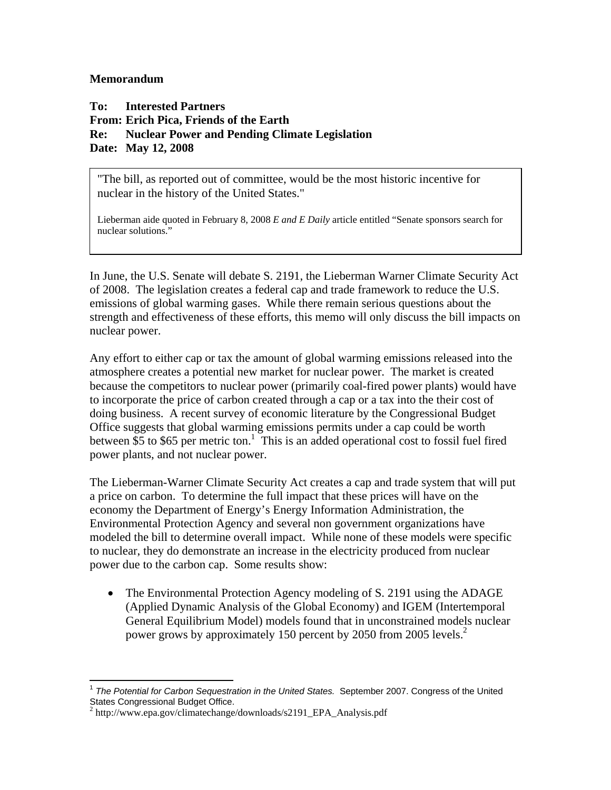## **Memorandum**

**To: Interested Partners From: Erich Pica, Friends of the Earth Re: Nuclear Power and Pending Climate Legislation Date: May 12, 2008** 

"The bill, as reported out of committee, would be the most historic incentive for nuclear in the history of the United States."

Lieberman aide quoted in February 8, 2008 *E and E Daily* article entitled "Senate sponsors search for nuclear solutions."

In June, the U.S. Senate will debate S. 2191, the Lieberman Warner Climate Security Act of 2008. The legislation creates a federal cap and trade framework to reduce the U.S. emissions of global warming gases. While there remain serious questions about the strength and effectiveness of these efforts, this memo will only discuss the bill impacts on nuclear power.

Any effort to either cap or tax the amount of global warming emissions released into the atmosphere creates a potential new market for nuclear power. The market is created because the competitors to nuclear power (primarily coal-fired power plants) would have to incorporate the price of carbon created through a cap or a tax into the their cost of doing business. A recent survey of economic literature by the Congressional Budget Office suggests that global warming emissions permits under a cap could be worth between  $\overline{\$5\}$  to  $\overline{\$65\}$  per metric ton.<sup>1</sup> This is an added operational cost to fossil fuel fired power plants, and not nuclear power.

The Lieberman-Warner Climate Security Act creates a cap and trade system that will put a price on carbon. To determine the full impact that these prices will have on the economy the Department of Energy's Energy Information Administration, the Environmental Protection Agency and several non government organizations have modeled the bill to determine overall impact. While none of these models were specific to nuclear, they do demonstrate an increase in the electricity produced from nuclear power due to the carbon cap. Some results show:

• The Environmental Protection Agency modeling of S. 2191 using the ADAGE (Applied Dynamic Analysis of the Global Economy) and IGEM (Intertemporal General Equilibrium Model) models found that in unconstrained models nuclear power grows by approximately 150 percent by 2050 from 2005 levels.<sup>2</sup>

 $\overline{a}$ <sup>1</sup> *The Potential for Carbon Sequestration in the United States.* September 2007. Congress of the United States Congressional Budget Office.

<sup>2</sup> http://www.epa.gov/climatechange/downloads/s2191\_EPA\_Analysis.pdf